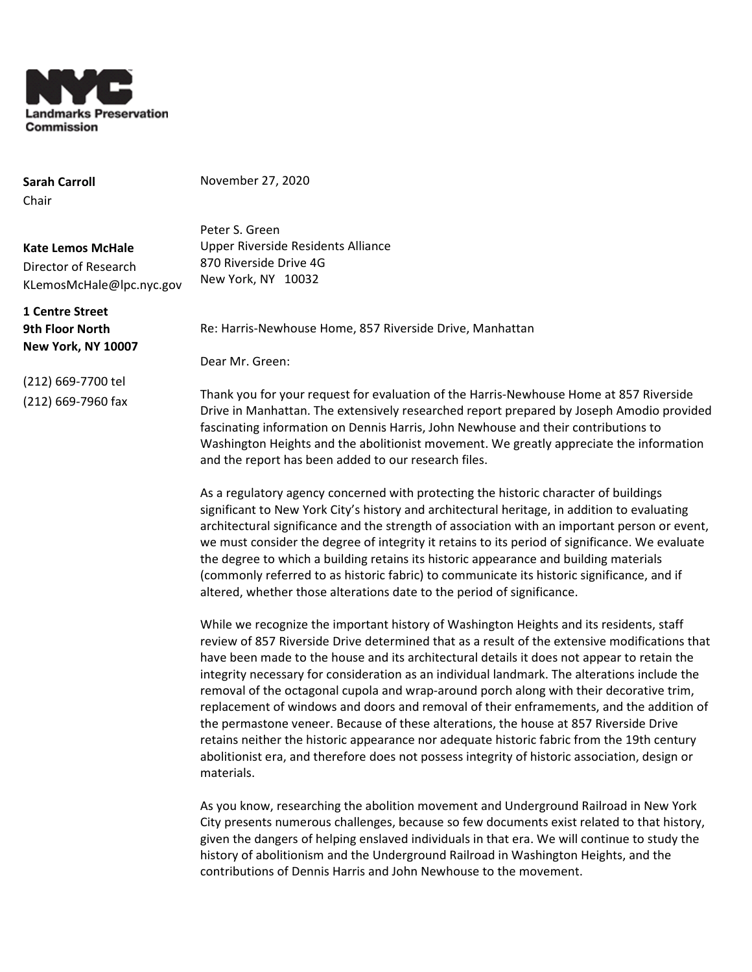

**Sarah Carroll** Chair

November 27, 2020

**Kate Lemos McHale** Director of Research KLemosMcHale@lpc.nyc.gov

**1 Centre Street 9th Floor North New York, NY 10007**

(212) 669-7700 tel (212) 669-7960 fax Peter S. Green Upper Riverside Residents Alliance 870 Riverside Drive 4G New York, NY 10032

Re: Harris-Newhouse Home, 857 Riverside Drive, Manhattan

Dear Mr. Green:

Thank you for your request for evaluation of the Harris-Newhouse Home at 857 Riverside Drive in Manhattan. The extensively researched report prepared by Joseph Amodio provided fascinating information on Dennis Harris, John Newhouse and their contributions to Washington Heights and the abolitionist movement. We greatly appreciate the information and the report has been added to our research files.

As a regulatory agency concerned with protecting the historic character of buildings significant to New York City's history and architectural heritage, in addition to evaluating architectural significance and the strength of association with an important person or event, we must consider the degree of integrity it retains to its period of significance. We evaluate the degree to which a building retains its historic appearance and building materials (commonly referred to as historic fabric) to communicate its historic significance, and if altered, whether those alterations date to the period of significance.

While we recognize the important history of Washington Heights and its residents, staff review of 857 Riverside Drive determined that as a result of the extensive modifications that have been made to the house and its architectural details it does not appear to retain the integrity necessary for consideration as an individual landmark. The alterations include the removal of the octagonal cupola and wrap-around porch along with their decorative trim, replacement of windows and doors and removal of their enframements, and the addition of the permastone veneer. Because of these alterations, the house at 857 Riverside Drive retains neither the historic appearance nor adequate historic fabric from the 19th century abolitionist era, and therefore does not possess integrity of historic association, design or materials.

As you know, researching the abolition movement and Underground Railroad in New York City presents numerous challenges, because so few documents exist related to that history, given the dangers of helping enslaved individuals in that era. We will continue to study the history of abolitionism and the Underground Railroad in Washington Heights, and the contributions of Dennis Harris and John Newhouse to the movement.